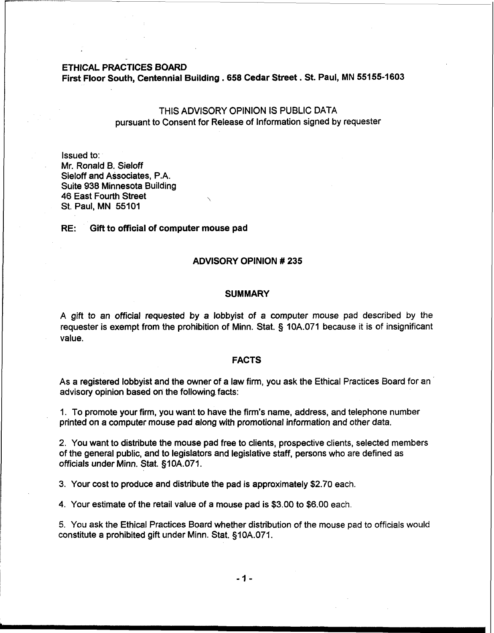### ETHICAL PRACTICES BOARD

First Floor South, Centennial Building **.658** Cedar Street. St. Paul, MN **55155-1603** 

# THIS ADVISORY OPINION IS PUBLIC DATA pursuant to Consent for Release of Information signed by requester

Issued to: Mr. Ronald B. Sieloff Sieloff and Associates, P.A. Suite 938 Minnesota Building 46 East Fourth Street \ St. Paul, MN 55101

#### RE: Gift to official of computer mouse pad

#### ADVISORY OPINION # **235**

#### **SUMMARY**

A gift to an official requested by a lobbyist of a computer mouse pad described **by** the requester is exempt from the prohibition of Minn. Stat. 5 10A.071 because it is of insignificant value.

#### FACTS

As a registered lobbyist and the owner of a law firm, you ask the Ethical Practices Board for an advisory opinion based on the following, facts:

1. To promote your firm, you want to have the firm's name, address, and telephone number printed on a computer mouse pad along with promotional information and other data.

2. You want to distribute the mouse pad free to clients, prospective clients, selected members of the general public, and to legislators and legislative staff, persons who are defined as officials under Minn. Stat. §10A.071.

3. Your cost to produce and distribute the pad is approximately \$2.70 each.

4. Your estimate of the retail value of a mouse pad is \$3.00 to \$6.00 each

5. You ask the Ethical Practices Board whether distribution of the mouse pad to officials would constitute a prohibited gift under Minn. Stat. §10A.071.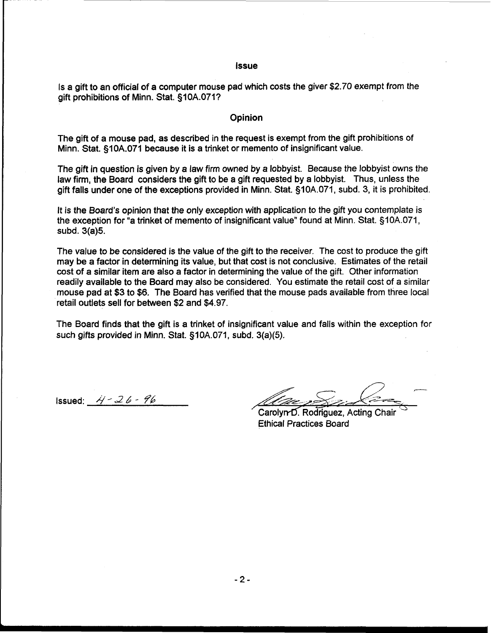#### **Issue**

Is a gift to an official of a computer mouse pad which costs the giver \$2.70 exempt from the gift prohibitions of Minn. Stat. §10A.071?

### **Opinion**

The gift of a mouse pad, as described in the request is exempt from the gift prohibitions of Minn. Stat. §10A.071 because it is a trinket or memento of insignificant value.

The gift in question is given by a law firm owned by a lobbyist. Because the lobbyist owns the law firm, the Board considers the gift to be a gift requested by a lobbyist. Thus, unless the gift falls under one of the exceptions provided in Minn. Stat. §10A.071, subd. 3, it is prohibited.

It is the Board's opinion that the only exception with application to the gift you contemplate is the exception for "a trinket of memento of insignificant value" found at Minn. Stat. §10A.071, subd. 3(a)5.

The value to be considered is the value of the gift to the receiver. The cost to produce the gift may be a factor in determining its value, but that cost is not conclusive. Estimates of the retail cost of a similar item are also a factor in determining the value of the gift. Other information readily available to the Board may also be considered. You estimate the retail cost of a similar mouse pad at \$3 to \$6. The Board has verified that the mouse pads available from three local retail outlets sell for between \$2 and \$4.97.

The Board finds that the gift is a trinket of insignificant value and falls within the exception for such gifts provided in Minn. Stat. §10A.071, subd. 3(a)(5).

 $Issued:$   $4 - 26 - 96$ 

Carolyn-D. Rodriguez, Acting Chair Ethical Practices Board